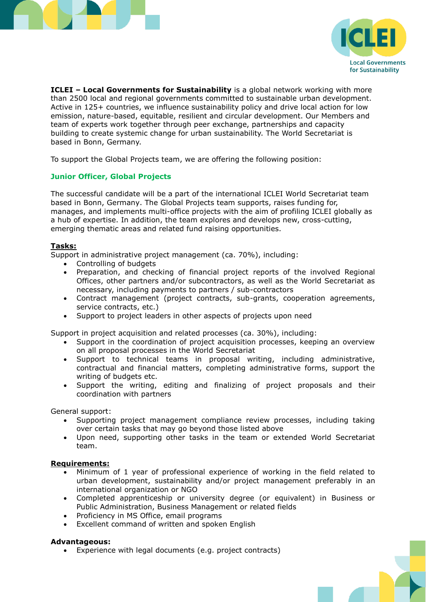



**ICLEI – Local Governments for Sustainability** is a global network working with more than 2500 local and regional governments committed to sustainable urban development. Active in 125+ countries, we influence sustainability policy and drive local action for low emission, nature-based, equitable, resilient and circular development. Our Members and team of experts work together through peer exchange, partnerships and capacity building to create systemic change for urban sustainability. The World Secretariat is based in Bonn, Germany.

To support the Global Projects team, we are offering the following position:

# **Junior Officer, Global Projects**

The successful candidate will be a part of the international ICLEI World Secretariat team based in Bonn, Germany. The Global Projects team supports, raises funding for, manages, and implements multi-office projects with the aim of profiling ICLEI globally as a hub of expertise. In addition, the team explores and develops new, cross-cutting, emerging thematic areas and related fund raising opportunities.

### **Tasks:**

Support in administrative project management (ca. 70%), including:

- Controlling of budgets
- Preparation, and checking of financial project reports of the involved Regional Offices, other partners and/or subcontractors, as well as the World Secretariat as necessary, including payments to partners / sub-contractors
- Contract management (project contracts, sub-grants, cooperation agreements, service contracts, etc.)
- Support to project leaders in other aspects of projects upon need

Support in project acquisition and related processes (ca. 30%), including:

- Support in the coordination of project acquisition processes, keeping an overview on all proposal processes in the World Secretariat
- Support to technical teams in proposal writing, including administrative, contractual and financial matters, completing administrative forms, support the writing of budgets etc.
- Support the writing, editing and finalizing of project proposals and their coordination with partners

General support:

- Supporting project management compliance review processes, including taking over certain tasks that may go beyond those listed above
- Upon need, supporting other tasks in the team or extended World Secretariat team.

# **Requirements:**

- Minimum of 1 year of professional experience of working in the field related to urban development, sustainability and/or project management preferably in an international organization or NGO
- Completed apprenticeship or university degree (or equivalent) in Business or Public Administration, Business Management or related fields
- Proficiency in MS Office, email programs
- Excellent command of written and spoken English

### **Advantageous:**

Experience with legal documents (e.g. project contracts)